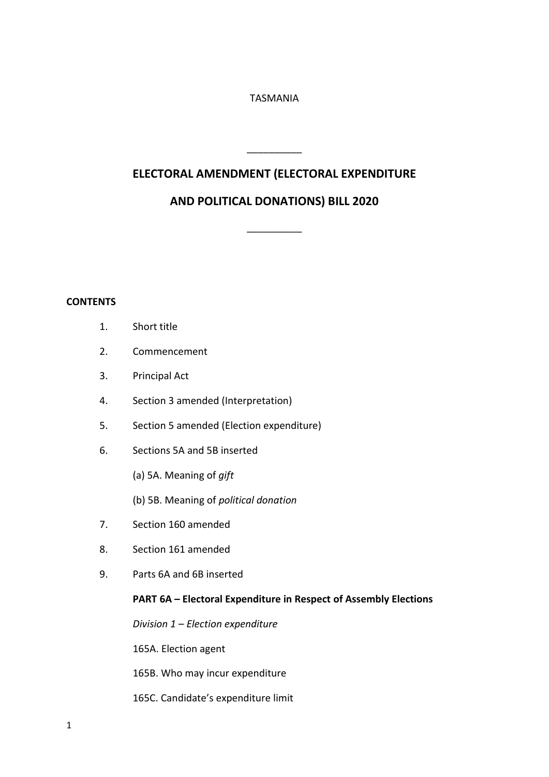# TASMANIA

# **ELECTORAL AMENDMENT (ELECTORAL EXPENDITURE**

\_\_\_\_\_\_\_\_\_\_

# **AND POLITICAL DONATIONS) BILL 2020**

\_\_\_\_\_\_\_\_\_\_

# **CONTENTS**

- 1. Short title
- 2. Commencement
- 3. Principal Act
- 4. Section 3 amended (Interpretation)
- 5. Section 5 amended (Election expenditure)
- 6. Sections 5A and 5B inserted
	- (a) 5A. Meaning of *gift*
	- (b) 5B. Meaning of *political donation*
- 7. Section 160 amended
- 8. Section 161 amended
- 9. Parts 6A and 6B inserted

# **PART 6A – Electoral Expenditure in Respect of Assembly Elections**

*Division 1 – Election expenditure* 

165A. Election agent

165B. Who may incur expenditure

165C. Candidate's expenditure limit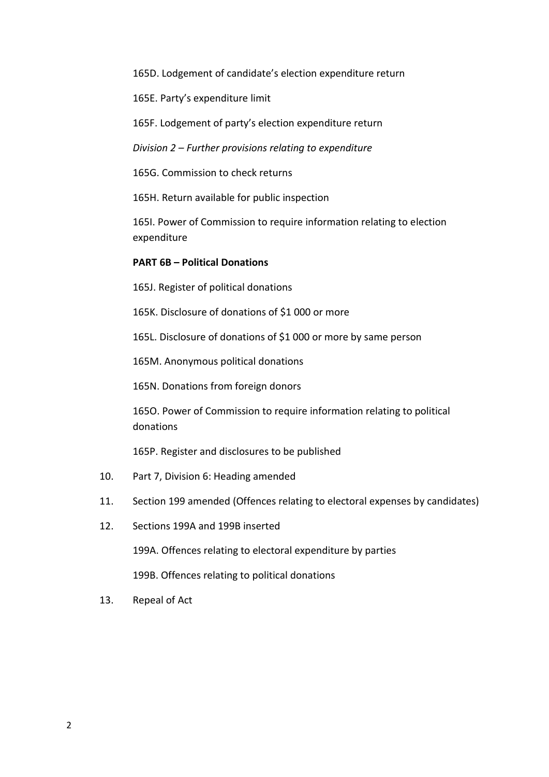165D. Lodgement of candidate's election expenditure return

165E. Party's expenditure limit

165F. Lodgement of party's election expenditure return

*Division 2 – Further provisions relating to expenditure* 

165G. Commission to check returns

165H. Return available for public inspection

165I. Power of Commission to require information relating to election expenditure

### **PART 6B – Political Donations**

165J. Register of political donations

165K. Disclosure of donations of \$1 000 or more

165L. Disclosure of donations of \$1 000 or more by same person

165M. Anonymous political donations

165N. Donations from foreign donors

165O. Power of Commission to require information relating to political donations

165P. Register and disclosures to be published

- 10. Part 7, Division 6: Heading amended
- 11. Section 199 amended (Offences relating to electoral expenses by candidates)
- 12. Sections 199A and 199B inserted

199A. Offences relating to electoral expenditure by parties

199B. Offences relating to political donations

13. Repeal of Act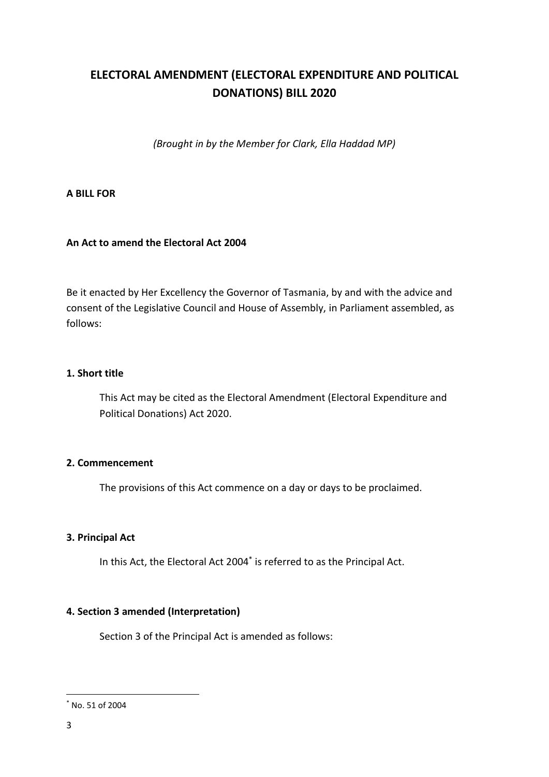# **ELECTORAL AMENDMENT (ELECTORAL EXPENDITURE AND POLITICAL DONATIONS) BILL 2020**

*(Brought in by the Member for Clark, Ella Haddad MP)*

# **A BILL FOR**

# **An Act to amend the Electoral Act 2004**

Be it enacted by Her Excellency the Governor of Tasmania, by and with the advice and consent of the Legislative Council and House of Assembly, in Parliament assembled, as follows:

# **1. Short title**

This Act may be cited as the Electoral Amendment (Electoral Expenditure and Political Donations) Act 2020.

# **2. Commencement**

The provisions of this Act commence on a day or days to be proclaimed.

# **3. Principal Act**

In this Act, the Electoral Act 2004\* is referred to as the Principal Act.

# **4. Section 3 amended (Interpretation)**

Section 3 of the Principal Act is amended as follows:

**.** 

<sup>\*</sup> No. 51 of 2004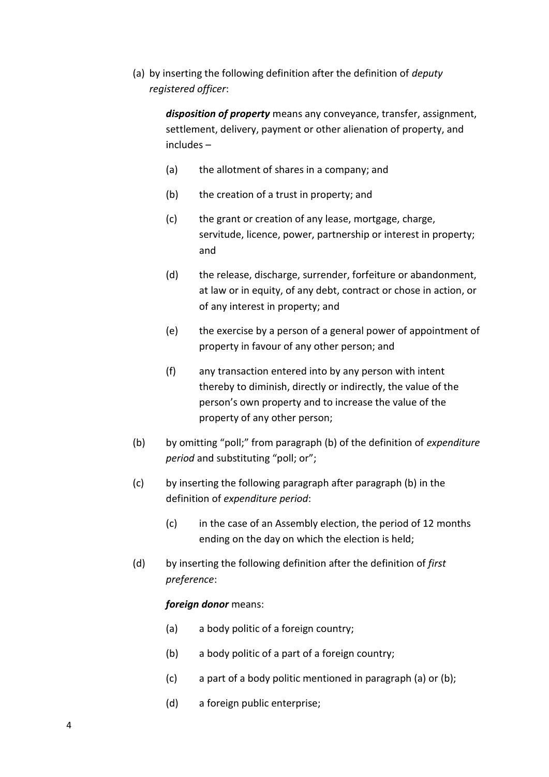(a) by inserting the following definition after the definition of *deputy registered officer*:

> *disposition of property* means any conveyance, transfer, assignment, settlement, delivery, payment or other alienation of property, and includes –

- (a) the allotment of shares in a company; and
- (b) the creation of a trust in property; and
- (c) the grant or creation of any lease, mortgage, charge, servitude, licence, power, partnership or interest in property; and
- (d) the release, discharge, surrender, forfeiture or abandonment, at law or in equity, of any debt, contract or chose in action, or of any interest in property; and
- (e) the exercise by a person of a general power of appointment of property in favour of any other person; and
- (f) any transaction entered into by any person with intent thereby to diminish, directly or indirectly, the value of the person's own property and to increase the value of the property of any other person;
- (b) by omitting "poll;" from paragraph (b) of the definition of *expenditure period* and substituting "poll; or";
- (c) by inserting the following paragraph after paragraph (b) in the definition of *expenditure period*:
	- (c) in the case of an Assembly election, the period of 12 months ending on the day on which the election is held;
- (d) by inserting the following definition after the definition of *first preference*:

#### *foreign donor* means:

- (a) a body politic of a foreign country;
- (b) a body politic of a part of a foreign country;
- (c) a part of a body politic mentioned in paragraph (a) or (b);
- (d) a foreign public enterprise;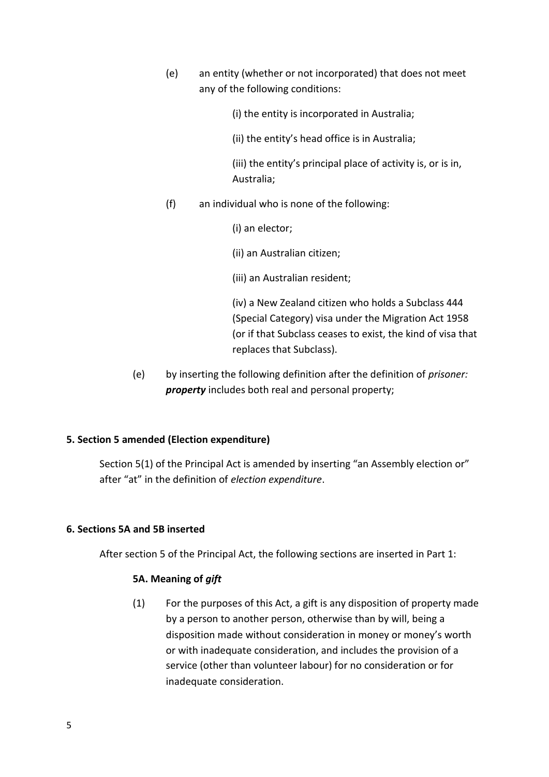(e) an entity (whether or not incorporated) that does not meet any of the following conditions:

(i) the entity is incorporated in Australia;

(ii) the entity's head office is in Australia;

(iii) the entity's principal place of activity is, or is in, Australia;

(f) an individual who is none of the following:

(i) an elector;

(ii) an Australian citizen;

(iii) an Australian resident;

(iv) a New Zealand citizen who holds a Subclass 444 (Special Category) visa under the Migration Act 1958 (or if that Subclass ceases to exist, the kind of visa that replaces that Subclass).

(e) by inserting the following definition after the definition of *prisoner: property* includes both real and personal property;

# **5. Section 5 amended (Election expenditure)**

Section 5(1) of the Principal Act is amended by inserting "an Assembly election or" after "at" in the definition of *election expenditure*.

# **6. Sections 5A and 5B inserted**

After section 5 of the Principal Act, the following sections are inserted in Part 1:

# **5A. Meaning of** *gift*

(1) For the purposes of this Act, a gift is any disposition of property made by a person to another person, otherwise than by will, being a disposition made without consideration in money or money's worth or with inadequate consideration, and includes the provision of a service (other than volunteer labour) for no consideration or for inadequate consideration.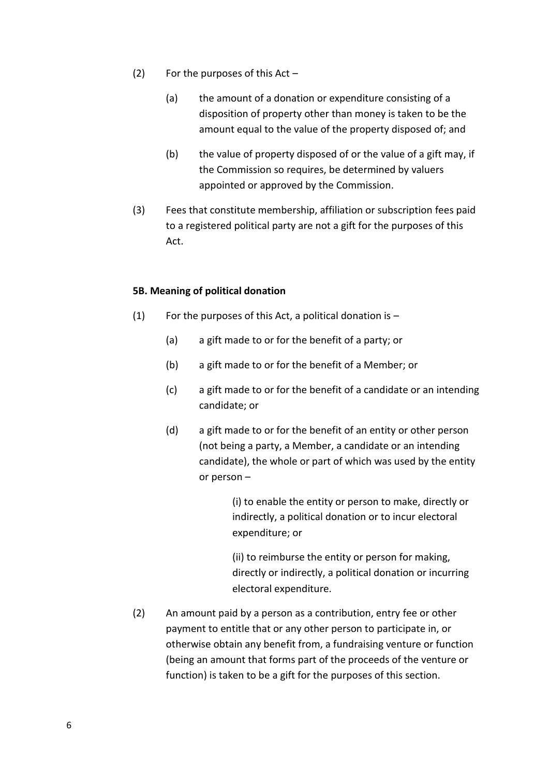- (2) For the purposes of this  $Act -$ 
	- (a) the amount of a donation or expenditure consisting of a disposition of property other than money is taken to be the amount equal to the value of the property disposed of; and
	- (b) the value of property disposed of or the value of a gift may, if the Commission so requires, be determined by valuers appointed or approved by the Commission.
- (3) Fees that constitute membership, affiliation or subscription fees paid to a registered political party are not a gift for the purposes of this Act.

# **5B. Meaning of political donation**

- (1) For the purposes of this Act, a political donation is  $-$ 
	- (a) a gift made to or for the benefit of a party; or
	- (b) a gift made to or for the benefit of a Member; or
	- (c) a gift made to or for the benefit of a candidate or an intending candidate; or
	- (d) a gift made to or for the benefit of an entity or other person (not being a party, a Member, a candidate or an intending candidate), the whole or part of which was used by the entity or person –

(i) to enable the entity or person to make, directly or indirectly, a political donation or to incur electoral expenditure; or

(ii) to reimburse the entity or person for making, directly or indirectly, a political donation or incurring electoral expenditure.

(2) An amount paid by a person as a contribution, entry fee or other payment to entitle that or any other person to participate in, or otherwise obtain any benefit from, a fundraising venture or function (being an amount that forms part of the proceeds of the venture or function) is taken to be a gift for the purposes of this section.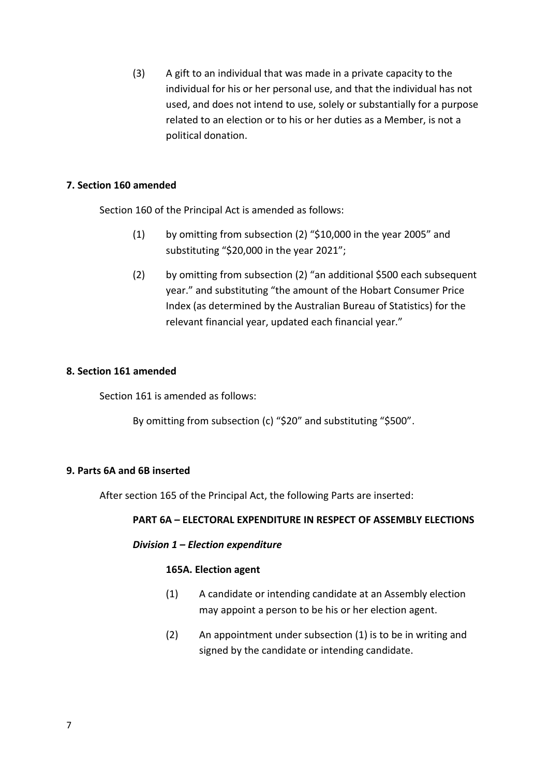(3) A gift to an individual that was made in a private capacity to the individual for his or her personal use, and that the individual has not used, and does not intend to use, solely or substantially for a purpose related to an election or to his or her duties as a Member, is not a political donation.

# **7. Section 160 amended**

Section 160 of the Principal Act is amended as follows:

- (1) by omitting from subsection (2) "\$10,000 in the year 2005" and substituting "\$20,000 in the year 2021";
- (2) by omitting from subsection (2) "an additional \$500 each subsequent year." and substituting "the amount of the Hobart Consumer Price Index (as determined by the Australian Bureau of Statistics) for the relevant financial year, updated each financial year."

# **8. Section 161 amended**

Section 161 is amended as follows:

By omitting from subsection (c) "\$20" and substituting "\$500".

# **9. Parts 6A and 6B inserted**

After section 165 of the Principal Act, the following Parts are inserted:

# **PART 6A – ELECTORAL EXPENDITURE IN RESPECT OF ASSEMBLY ELECTIONS**

# *Division 1 – Election expenditure*

# **165A. Election agent**

- (1) A candidate or intending candidate at an Assembly election may appoint a person to be his or her election agent.
- (2) An appointment under subsection (1) is to be in writing and signed by the candidate or intending candidate.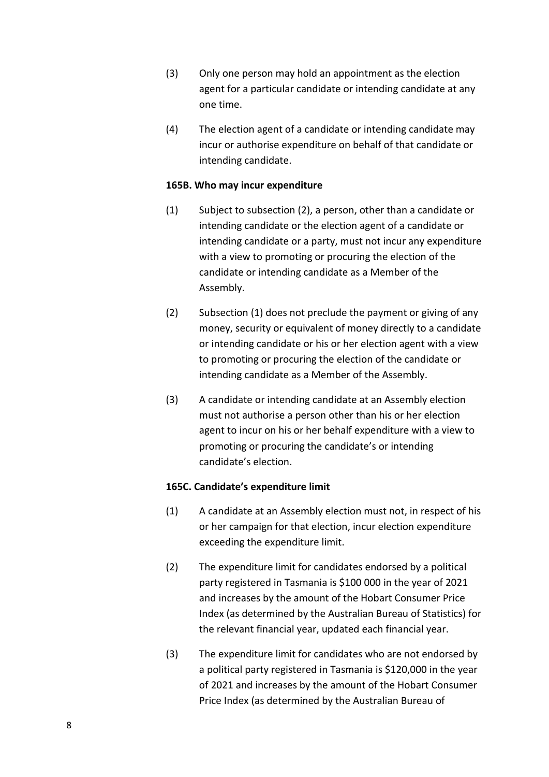- (3) Only one person may hold an appointment as the election agent for a particular candidate or intending candidate at any one time.
- (4) The election agent of a candidate or intending candidate may incur or authorise expenditure on behalf of that candidate or intending candidate.

# **165B. Who may incur expenditure**

- (1) Subject to subsection (2), a person, other than a candidate or intending candidate or the election agent of a candidate or intending candidate or a party, must not incur any expenditure with a view to promoting or procuring the election of the candidate or intending candidate as a Member of the Assembly.
- (2) Subsection (1) does not preclude the payment or giving of any money, security or equivalent of money directly to a candidate or intending candidate or his or her election agent with a view to promoting or procuring the election of the candidate or intending candidate as a Member of the Assembly.
- (3) A candidate or intending candidate at an Assembly election must not authorise a person other than his or her election agent to incur on his or her behalf expenditure with a view to promoting or procuring the candidate's or intending candidate's election.

# **165C. Candidate's expenditure limit**

- (1) A candidate at an Assembly election must not, in respect of his or her campaign for that election, incur election expenditure exceeding the expenditure limit.
- (2) The expenditure limit for candidates endorsed by a political party registered in Tasmania is \$100 000 in the year of 2021 and increases by the amount of the Hobart Consumer Price Index (as determined by the Australian Bureau of Statistics) for the relevant financial year, updated each financial year.
- (3) The expenditure limit for candidates who are not endorsed by a political party registered in Tasmania is \$120,000 in the year of 2021 and increases by the amount of the Hobart Consumer Price Index (as determined by the Australian Bureau of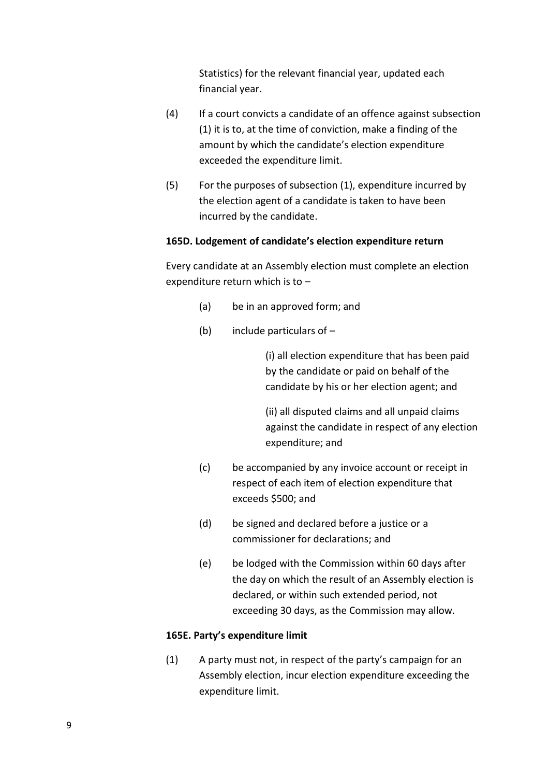Statistics) for the relevant financial year, updated each financial year.

- (4) If a court convicts a candidate of an offence against subsection (1) it is to, at the time of conviction, make a finding of the amount by which the candidate's election expenditure exceeded the expenditure limit.
- (5) For the purposes of subsection (1), expenditure incurred by the election agent of a candidate is taken to have been incurred by the candidate.

# **165D. Lodgement of candidate's election expenditure return**

Every candidate at an Assembly election must complete an election expenditure return which is to –

- (a) be in an approved form; and
- (b) include particulars of  $-$

(i) all election expenditure that has been paid by the candidate or paid on behalf of the candidate by his or her election agent; and

(ii) all disputed claims and all unpaid claims against the candidate in respect of any election expenditure; and

- (c) be accompanied by any invoice account or receipt in respect of each item of election expenditure that exceeds \$500; and
- (d) be signed and declared before a justice or a commissioner for declarations; and
- (e) be lodged with the Commission within 60 days after the day on which the result of an Assembly election is declared, or within such extended period, not exceeding 30 days, as the Commission may allow.

# **165E. Party's expenditure limit**

(1) A party must not, in respect of the party's campaign for an Assembly election, incur election expenditure exceeding the expenditure limit.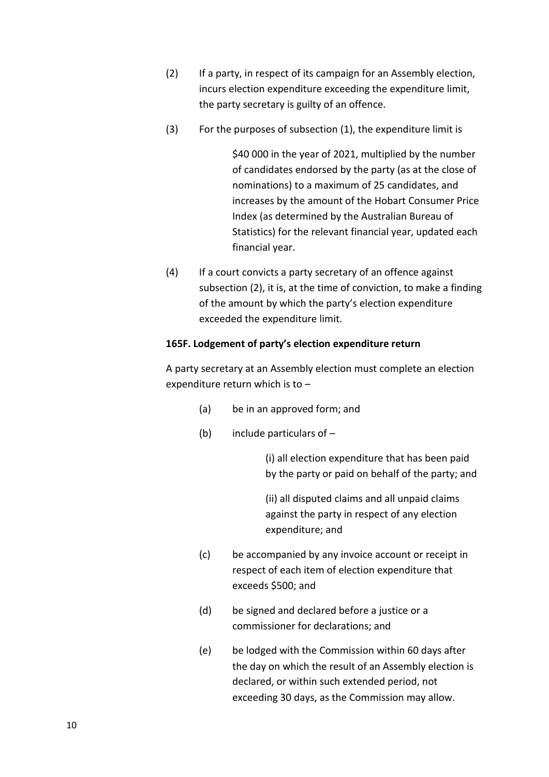- (2) If a party, in respect of its campaign for an Assembly election, incurs election expenditure exceeding the expenditure limit, the party secretary is guilty of an offence.
- (3) For the purposes of subsection (1), the expenditure limit is

\$40 000 in the year of 2021, multiplied by the number of candidates endorsed by the party (as at the close of nominations) to a maximum of 25 candidates, and increases by the amount of the Hobart Consumer Price Index (as determined by the Australian Bureau of Statistics) for the relevant financial year, updated each financial year.

(4) If a court convicts a party secretary of an offence against subsection (2), it is, at the time of conviction, to make a finding of the amount by which the party's election expenditure exceeded the expenditure limit.

### **165F. Lodgement of party's election expenditure return**

A party secretary at an Assembly election must complete an election expenditure return which is to –

- (a) be in an approved form; and
- (b) include particulars of –

(i) all election expenditure that has been paid by the party or paid on behalf of the party; and

(ii) all disputed claims and all unpaid claims against the party in respect of any election expenditure; and

- (c) be accompanied by any invoice account or receipt in respect of each item of election expenditure that exceeds \$500; and
- (d) be signed and declared before a justice or a commissioner for declarations; and
- (e) be lodged with the Commission within 60 days after the day on which the result of an Assembly election is declared, or within such extended period, not exceeding 30 days, as the Commission may allow.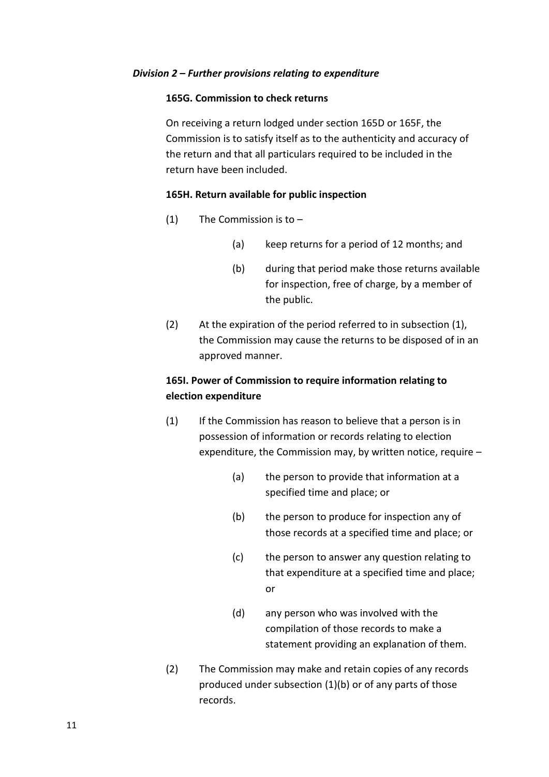#### *Division 2 – Further provisions relating to expenditure*

#### **165G. Commission to check returns**

On receiving a return lodged under section 165D or 165F, the Commission is to satisfy itself as to the authenticity and accuracy of the return and that all particulars required to be included in the return have been included.

#### **165H. Return available for public inspection**

- (1) The Commission is to  $-$ 
	- (a) keep returns for a period of 12 months; and
	- (b) during that period make those returns available for inspection, free of charge, by a member of the public.
- (2) At the expiration of the period referred to in subsection (1), the Commission may cause the returns to be disposed of in an approved manner.

# **165I. Power of Commission to require information relating to election expenditure**

- (1) If the Commission has reason to believe that a person is in possession of information or records relating to election expenditure, the Commission may, by written notice, require –
	- (a) the person to provide that information at a specified time and place; or
	- (b) the person to produce for inspection any of those records at a specified time and place; or
	- (c) the person to answer any question relating to that expenditure at a specified time and place; or
	- (d) any person who was involved with the compilation of those records to make a statement providing an explanation of them.
- (2) The Commission may make and retain copies of any records produced under subsection (1)(b) or of any parts of those records.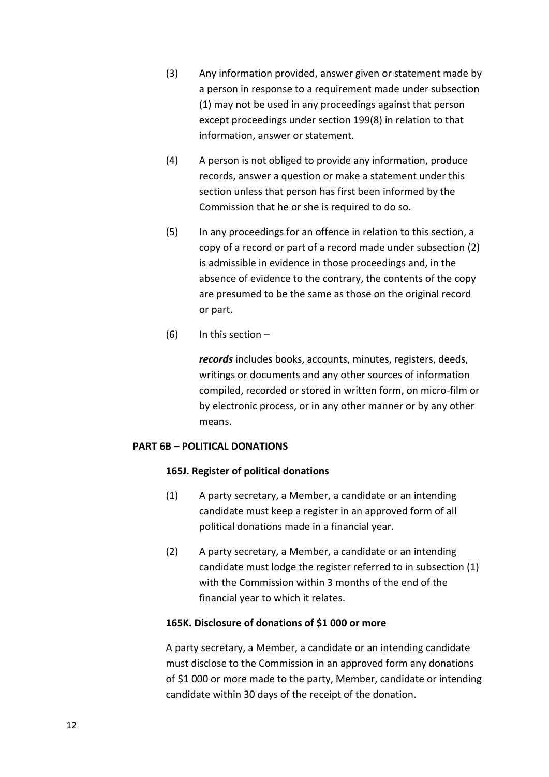- (3) Any information provided, answer given or statement made by a person in response to a requirement made under subsection (1) may not be used in any proceedings against that person except proceedings under section 199(8) in relation to that information, answer or statement.
- (4) A person is not obliged to provide any information, produce records, answer a question or make a statement under this section unless that person has first been informed by the Commission that he or she is required to do so.
- (5) In any proceedings for an offence in relation to this section, a copy of a record or part of a record made under subsection (2) is admissible in evidence in those proceedings and, in the absence of evidence to the contrary, the contents of the copy are presumed to be the same as those on the original record or part.
- (6) In this section  $-$

*records* includes books, accounts, minutes, registers, deeds, writings or documents and any other sources of information compiled, recorded or stored in written form, on micro-film or by electronic process, or in any other manner or by any other means.

#### **PART 6B – POLITICAL DONATIONS**

#### **165J. Register of political donations**

- (1) A party secretary, a Member, a candidate or an intending candidate must keep a register in an approved form of all political donations made in a financial year.
- (2) A party secretary, a Member, a candidate or an intending candidate must lodge the register referred to in subsection (1) with the Commission within 3 months of the end of the financial year to which it relates.

#### **165K. Disclosure of donations of \$1 000 or more**

A party secretary, a Member, a candidate or an intending candidate must disclose to the Commission in an approved form any donations of \$1 000 or more made to the party, Member, candidate or intending candidate within 30 days of the receipt of the donation.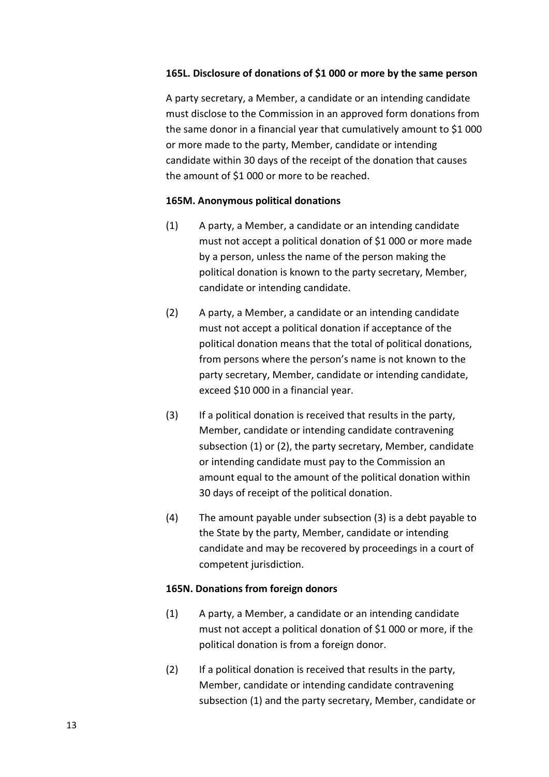### **165L. Disclosure of donations of \$1 000 or more by the same person**

A party secretary, a Member, a candidate or an intending candidate must disclose to the Commission in an approved form donations from the same donor in a financial year that cumulatively amount to \$1 000 or more made to the party, Member, candidate or intending candidate within 30 days of the receipt of the donation that causes the amount of \$1 000 or more to be reached.

#### **165M. Anonymous political donations**

- (1) A party, a Member, a candidate or an intending candidate must not accept a political donation of \$1 000 or more made by a person, unless the name of the person making the political donation is known to the party secretary, Member, candidate or intending candidate.
- (2) A party, a Member, a candidate or an intending candidate must not accept a political donation if acceptance of the political donation means that the total of political donations, from persons where the person's name is not known to the party secretary, Member, candidate or intending candidate, exceed \$10 000 in a financial year.
- (3) If a political donation is received that results in the party, Member, candidate or intending candidate contravening subsection (1) or (2), the party secretary, Member, candidate or intending candidate must pay to the Commission an amount equal to the amount of the political donation within 30 days of receipt of the political donation.
- (4) The amount payable under subsection (3) is a debt payable to the State by the party, Member, candidate or intending candidate and may be recovered by proceedings in a court of competent jurisdiction.

#### **165N. Donations from foreign donors**

- (1) A party, a Member, a candidate or an intending candidate must not accept a political donation of \$1 000 or more, if the political donation is from a foreign donor.
- (2) If a political donation is received that results in the party, Member, candidate or intending candidate contravening subsection (1) and the party secretary, Member, candidate or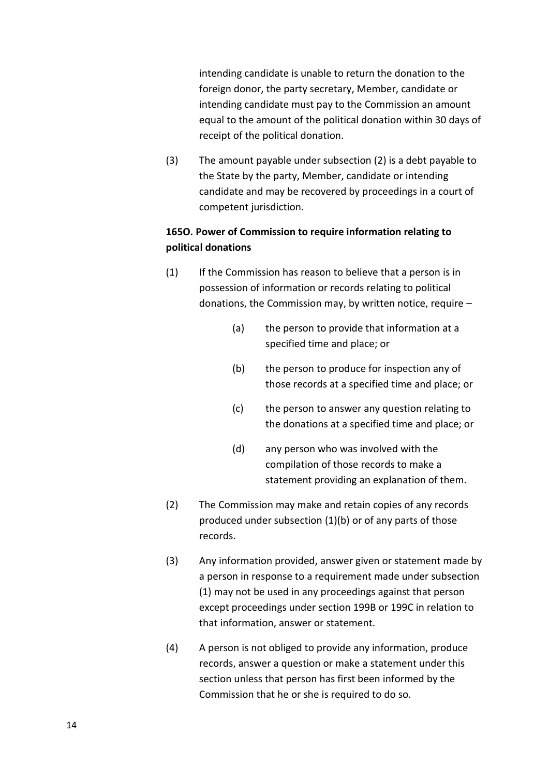intending candidate is unable to return the donation to the foreign donor, the party secretary, Member, candidate or intending candidate must pay to the Commission an amount equal to the amount of the political donation within 30 days of receipt of the political donation.

(3) The amount payable under subsection (2) is a debt payable to the State by the party, Member, candidate or intending candidate and may be recovered by proceedings in a court of competent jurisdiction.

# **165O. Power of Commission to require information relating to political donations**

- (1) If the Commission has reason to believe that a person is in possession of information or records relating to political donations, the Commission may, by written notice, require –
	- (a) the person to provide that information at a specified time and place; or
	- (b) the person to produce for inspection any of those records at a specified time and place; or
	- (c) the person to answer any question relating to the donations at a specified time and place; or
	- (d) any person who was involved with the compilation of those records to make a statement providing an explanation of them.
- (2) The Commission may make and retain copies of any records produced under subsection (1)(b) or of any parts of those records.
- (3) Any information provided, answer given or statement made by a person in response to a requirement made under subsection (1) may not be used in any proceedings against that person except proceedings under section 199B or 199C in relation to that information, answer or statement.
- (4) A person is not obliged to provide any information, produce records, answer a question or make a statement under this section unless that person has first been informed by the Commission that he or she is required to do so.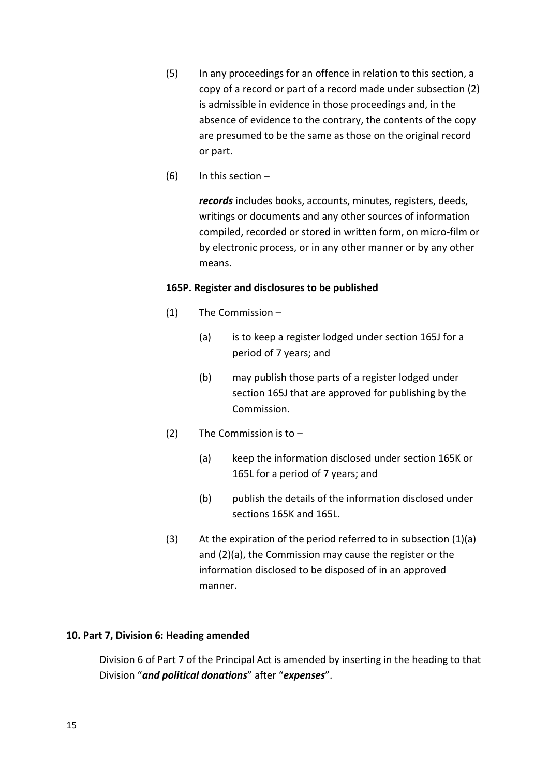- (5) In any proceedings for an offence in relation to this section, a copy of a record or part of a record made under subsection (2) is admissible in evidence in those proceedings and, in the absence of evidence to the contrary, the contents of the copy are presumed to be the same as those on the original record or part.
- (6) In this section  $-$

*records* includes books, accounts, minutes, registers, deeds, writings or documents and any other sources of information compiled, recorded or stored in written form, on micro-film or by electronic process, or in any other manner or by any other means.

# **165P. Register and disclosures to be published**

- (1) The Commission
	- (a) is to keep a register lodged under section 165J for a period of 7 years; and
	- (b) may publish those parts of a register lodged under section 165J that are approved for publishing by the Commission.
- (2) The Commission is to
	- (a) keep the information disclosed under section 165K or 165L for a period of 7 years; and
	- (b) publish the details of the information disclosed under sections 165K and 165L.
- (3) At the expiration of the period referred to in subsection (1)(a) and (2)(a), the Commission may cause the register or the information disclosed to be disposed of in an approved manner.

# **10. Part 7, Division 6: Heading amended**

Division 6 of Part 7 of the Principal Act is amended by inserting in the heading to that Division "*and political donations*" after "*expenses*".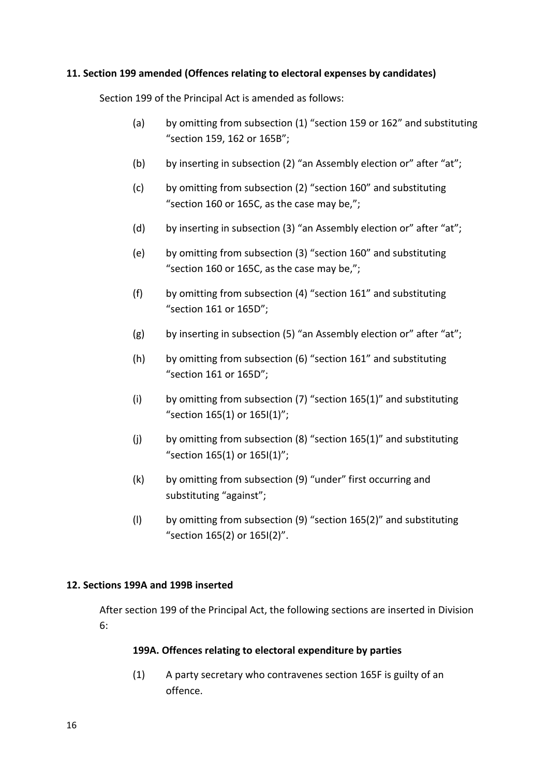# **11. Section 199 amended (Offences relating to electoral expenses by candidates)**

Section 199 of the Principal Act is amended as follows:

- (a) by omitting from subsection (1) "section 159 or 162" and substituting "section 159, 162 or 165B";
- (b) by inserting in subsection (2) "an Assembly election or" after "at";
- (c) by omitting from subsection (2) "section 160" and substituting "section 160 or 165C, as the case may be,";
- (d) by inserting in subsection (3) "an Assembly election or" after "at";
- (e) by omitting from subsection (3) "section 160" and substituting "section 160 or 165C, as the case may be,";
- (f) by omitting from subsection (4) "section 161" and substituting "section 161 or 165D";
- (g) by inserting in subsection (5) "an Assembly election or" after "at";
- (h) by omitting from subsection (6) "section 161" and substituting "section 161 or 165D";
- (i) by omitting from subsection  $(7)$  "section  $165(1)$ " and substituting "section 165(1) or 165I(1)";
- (i) by omitting from subsection  $(8)$  "section  $165(1)$ " and substituting "section 165(1) or 165I(1)";
- (k) by omitting from subsection (9) "under" first occurring and substituting "against";
- (I) by omitting from subsection (9) "section  $165(2)$ " and substituting "section 165(2) or 165I(2)".

# **12. Sections 199A and 199B inserted**

After section 199 of the Principal Act, the following sections are inserted in Division 6:

# **199A. Offences relating to electoral expenditure by parties**

(1) A party secretary who contravenes section 165F is guilty of an offence.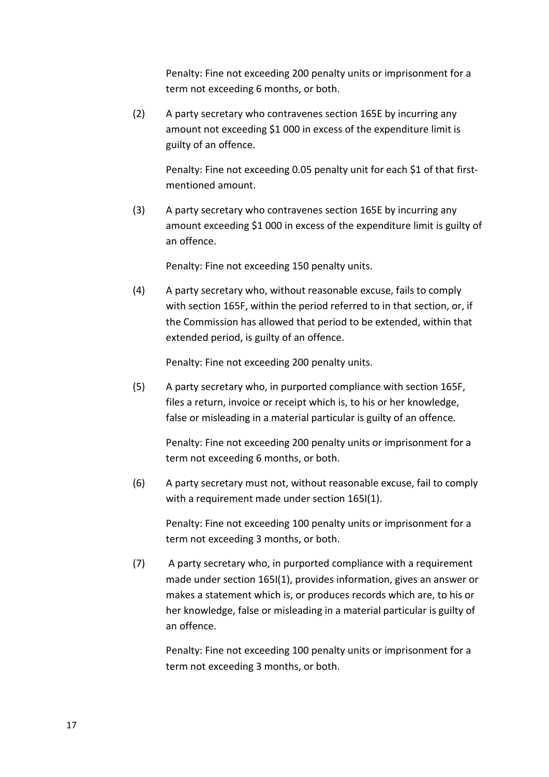Penalty: Fine not exceeding 200 penalty units or imprisonment for a term not exceeding 6 months, or both.

(2) A party secretary who contravenes section 165E by incurring any amount not exceeding \$1 000 in excess of the expenditure limit is guilty of an offence.

> Penalty: Fine not exceeding 0.05 penalty unit for each \$1 of that firstmentioned amount.

(3) A party secretary who contravenes section 165E by incurring any amount exceeding \$1 000 in excess of the expenditure limit is guilty of an offence.

Penalty: Fine not exceeding 150 penalty units.

(4) A party secretary who, without reasonable excuse, fails to comply with section 165F, within the period referred to in that section, or, if the Commission has allowed that period to be extended, within that extended period, is guilty of an offence.

Penalty: Fine not exceeding 200 penalty units.

(5) A party secretary who, in purported compliance with section 165F, files a return, invoice or receipt which is, to his or her knowledge, false or misleading in a material particular is guilty of an offence.

> Penalty: Fine not exceeding 200 penalty units or imprisonment for a term not exceeding 6 months, or both.

(6) A party secretary must not, without reasonable excuse, fail to comply with a requirement made under section 165I(1).

Penalty: Fine not exceeding 100 penalty units or imprisonment for a term not exceeding 3 months, or both.

(7) A party secretary who, in purported compliance with a requirement made under section 165I(1), provides information, gives an answer or makes a statement which is, or produces records which are, to his or her knowledge, false or misleading in a material particular is guilty of an offence.

Penalty: Fine not exceeding 100 penalty units or imprisonment for a term not exceeding 3 months, or both.